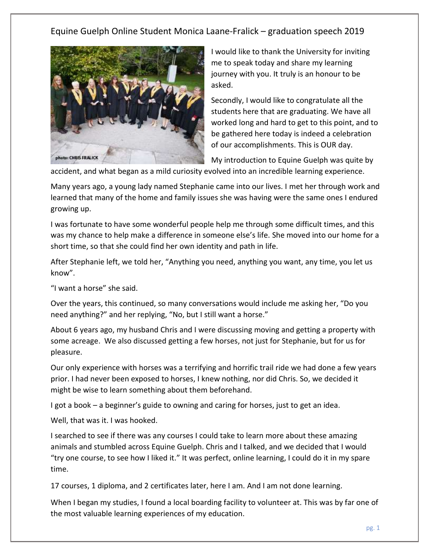

I would like to thank the University for inviting me to speak today and share my learning journey with you. It truly is an honour to be asked.

Secondly, I would like to congratulate all the students here that are graduating. We have all worked long and hard to get to this point, and to be gathered here today is indeed a celebration of our accomplishments. This is OUR day.

My introduction to Equine Guelph was quite by

accident, and what began as a mild curiosity evolved into an incredible learning experience.

Many years ago, a young lady named Stephanie came into our lives. I met her through work and learned that many of the home and family issues she was having were the same ones I endured growing up.

I was fortunate to have some wonderful people help me through some difficult times, and this was my chance to help make a difference in someone else's life. She moved into our home for a short time, so that she could find her own identity and path in life.

After Stephanie left, we told her, "Anything you need, anything you want, any time, you let us know".

"I want a horse" she said.

Over the years, this continued, so many conversations would include me asking her, "Do you need anything?" and her replying, "No, but I still want a horse."

About 6 years ago, my husband Chris and I were discussing moving and getting a property with some acreage. We also discussed getting a few horses, not just for Stephanie, but for us for pleasure.

Our only experience with horses was a terrifying and horrific trail ride we had done a few years prior. I had never been exposed to horses, I knew nothing, nor did Chris. So, we decided it might be wise to learn something about them beforehand.

I got a book – a beginner's guide to owning and caring for horses, just to get an idea.

Well, that was it. I was hooked.

I searched to see if there was any courses I could take to learn more about these amazing animals and stumbled across Equine Guelph. Chris and I talked, and we decided that I would "try one course, to see how I liked it." It was perfect, online learning, I could do it in my spare time.

17 courses, 1 diploma, and 2 certificates later, here I am. And I am not done learning.

When I began my studies, I found a local boarding facility to volunteer at. This was by far one of the most valuable learning experiences of my education.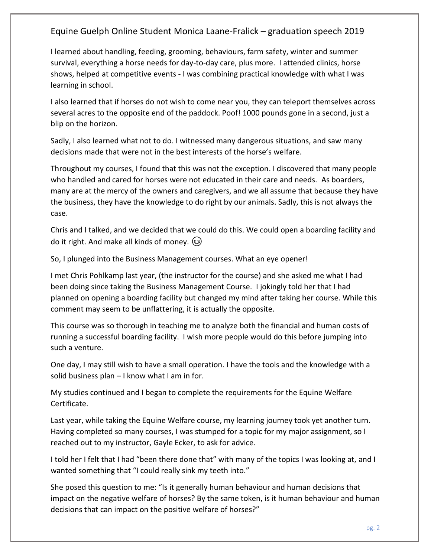I learned about handling, feeding, grooming, behaviours, farm safety, winter and summer survival, everything a horse needs for day-to-day care, plus more. I attended clinics, horse shows, helped at competitive events - I was combining practical knowledge with what I was learning in school.

I also learned that if horses do not wish to come near you, they can teleport themselves across several acres to the opposite end of the paddock. Poof! 1000 pounds gone in a second, just a blip on the horizon.

Sadly, I also learned what not to do. I witnessed many dangerous situations, and saw many decisions made that were not in the best interests of the horse's welfare.

Throughout my courses, I found that this was not the exception. I discovered that many people who handled and cared for horses were not educated in their care and needs. As boarders, many are at the mercy of the owners and caregivers, and we all assume that because they have the business, they have the knowledge to do right by our animals. Sadly, this is not always the case.

Chris and I talked, and we decided that we could do this. We could open a boarding facility and do it right. And make all kinds of money.  $\circled{a}$ 

So, I plunged into the Business Management courses. What an eye opener!

I met Chris Pohlkamp last year, (the instructor for the course) and she asked me what I had been doing since taking the Business Management Course. I jokingly told her that I had planned on opening a boarding facility but changed my mind after taking her course. While this comment may seem to be unflattering, it is actually the opposite.

This course was so thorough in teaching me to analyze both the financial and human costs of running a successful boarding facility. I wish more people would do this before jumping into such a venture.

One day, I may still wish to have a small operation. I have the tools and the knowledge with a solid business plan – I know what I am in for.

My studies continued and I began to complete the requirements for the Equine Welfare Certificate.

Last year, while taking the Equine Welfare course, my learning journey took yet another turn. Having completed so many courses, I was stumped for a topic for my major assignment, so I reached out to my instructor, Gayle Ecker, to ask for advice.

I told her I felt that I had "been there done that" with many of the topics I was looking at, and I wanted something that "I could really sink my teeth into."

She posed this question to me: "Is it generally human behaviour and human decisions that impact on the negative welfare of horses? By the same token, is it human behaviour and human decisions that can impact on the positive welfare of horses?"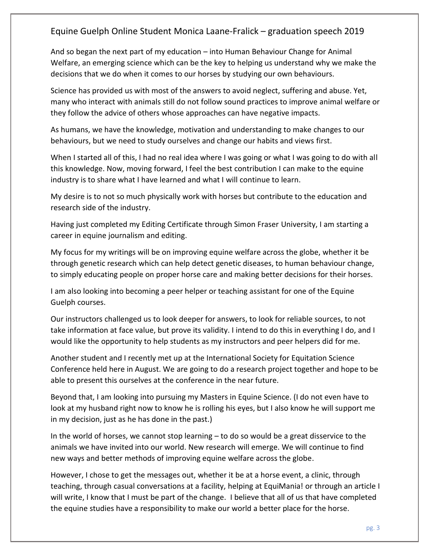And so began the next part of my education – into Human Behaviour Change for Animal Welfare, an emerging science which can be the key to helping us understand why we make the decisions that we do when it comes to our horses by studying our own behaviours.

Science has provided us with most of the answers to avoid neglect, suffering and abuse. Yet, many who interact with animals still do not follow sound practices to improve animal welfare or they follow the advice of others whose approaches can have negative impacts.

As humans, we have the knowledge, motivation and understanding to make changes to our behaviours, but we need to study ourselves and change our habits and views first.

When I started all of this, I had no real idea where I was going or what I was going to do with all this knowledge. Now, moving forward, I feel the best contribution I can make to the equine industry is to share what I have learned and what I will continue to learn.

My desire is to not so much physically work with horses but contribute to the education and research side of the industry.

Having just completed my Editing Certificate through Simon Fraser University, I am starting a career in equine journalism and editing.

My focus for my writings will be on improving equine welfare across the globe, whether it be through genetic research which can help detect genetic diseases, to human behaviour change, to simply educating people on proper horse care and making better decisions for their horses.

I am also looking into becoming a peer helper or teaching assistant for one of the Equine Guelph courses.

Our instructors challenged us to look deeper for answers, to look for reliable sources, to not take information at face value, but prove its validity. I intend to do this in everything I do, and I would like the opportunity to help students as my instructors and peer helpers did for me.

Another student and I recently met up at the International Society for Equitation Science Conference held here in August. We are going to do a research project together and hope to be able to present this ourselves at the conference in the near future.

Beyond that, I am looking into pursuing my Masters in Equine Science. (I do not even have to look at my husband right now to know he is rolling his eyes, but I also know he will support me in my decision, just as he has done in the past.)

In the world of horses, we cannot stop learning – to do so would be a great disservice to the animals we have invited into our world. New research will emerge. We will continue to find new ways and better methods of improving equine welfare across the globe.

However, I chose to get the messages out, whether it be at a horse event, a clinic, through teaching, through casual conversations at a facility, helping at EquiMania! or through an article I will write, I know that I must be part of the change. I believe that all of us that have completed the equine studies have a responsibility to make our world a better place for the horse.